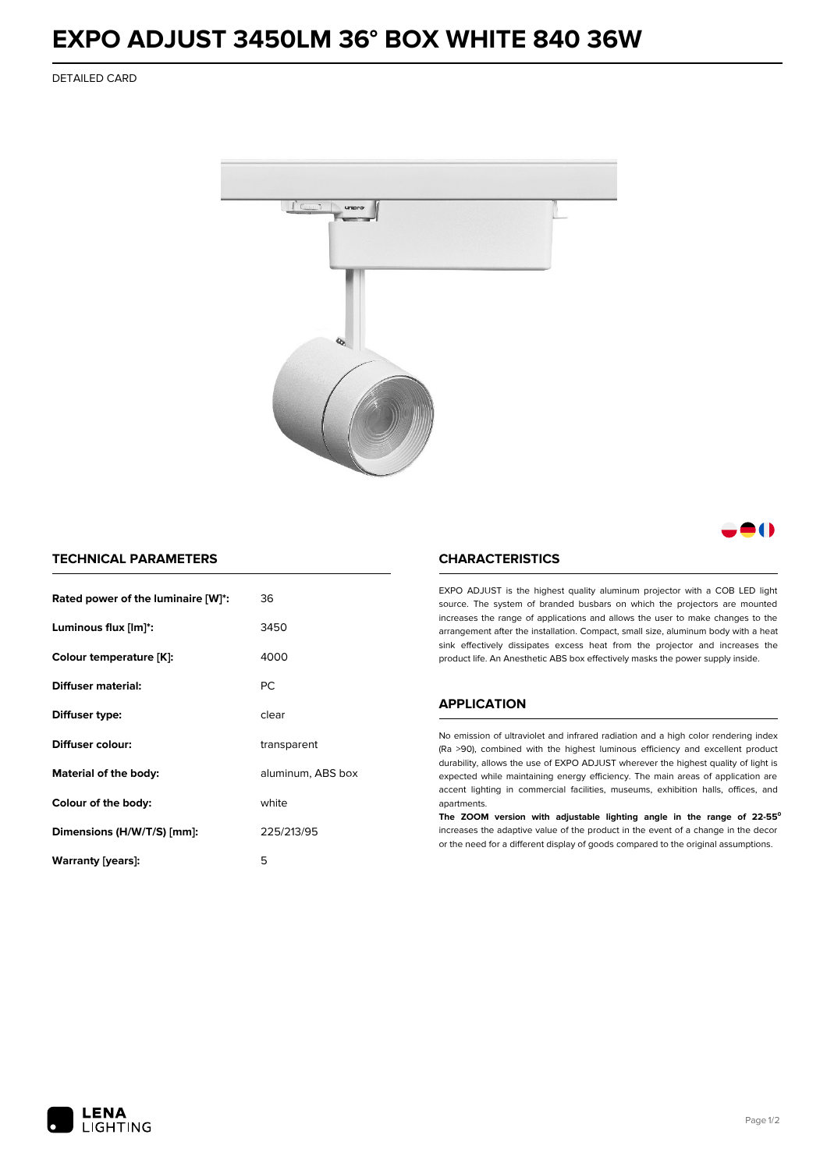## **EXPO ADJUST 3450LM 36° BOX WHITE 840 36W**

DETAILED CARD



8 ( )

## **TECHNICAL PARAMETERS**

| Rated power of the luminaire [W]*: | 36                |  |
|------------------------------------|-------------------|--|
| Luminous flux [lm]*:               | 3450              |  |
| Colour temperature [K]:            | 4000              |  |
| Diffuser material:                 | РC                |  |
| Diffuser type:                     | clear             |  |
| Diffuser colour:                   | transparent       |  |
| Material of the body:              | aluminum, ABS box |  |
| Colour of the body:                | white             |  |
| Dimensions (H/W/T/S) [mm]:         | 225/213/95        |  |
| Warranty (years):                  | 5                 |  |

### **CHARACTERISTICS**

EXPO ADJUST is the highest quality aluminum projector with a COB LED light source. The system of branded busbars on which the projectors are mounted increases the range of applications and allows the user to make changes to the arrangement after the installation. Compact, small size, aluminum body with a heat sink effectively dissipates excess heat from the projector and increases the product life. An Anesthetic ABS box effectively masks the power supply inside.

#### **APPLICATION**

No emission of ultraviolet and infrared radiation and a high color rendering index (Ra >90), combined with the highest luminous efficiency and excellent product durability, allows the use of EXPO ADJUST wherever the highest quality of light is expected while maintaining energy efficiency. The main areas of application are accent lighting in commercial facilities, museums, exhibition halls, offices, and apartments.

**The ZOOM version with adjustable lighting angle in the range of 22-55⁰** increases the adaptive value of the product in the event of a change in the decor or the need for a different display of goods compared to the original assumptions.